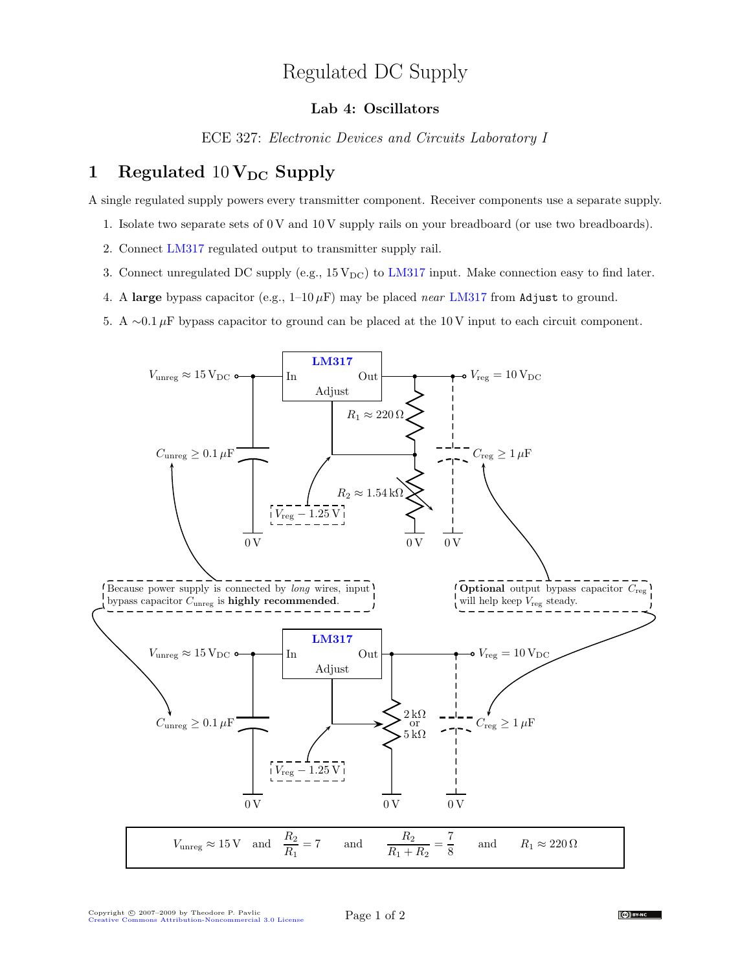## Regulated DC Supply

## Lab 4: Oscillators

ECE 327: Electronic Devices and Circuits Laboratory I

## 1 Regulated  $10 \text{V}_{\text{DC}}$  Supply

A single regulated supply powers every transmitter component. Receiver components use a separate supply.

- 1. Isolate two separate sets of 0 V and 10 V supply rails on your breadboard (or use two breadboards).
- 2. Connect [LM317](http://cache.national.com/ds/LM/LM117.pdf) regulated output to transmitter supply rail.
- 3. Connect unregulated DC supply (e.g.,  $15\,\text{V}_{\text{DC}}$ ) to [LM317](http://cache.national.com/ds/LM/LM117.pdf) input. Make connection easy to find later.
- 4. A large bypass capacitor (e.g.,  $1-10 \mu F$ ) may be placed *near* [LM317](http://cache.national.com/ds/LM/LM117.pdf) from Adjust to ground.
- 5. A ∼0.1  $\mu$ F bypass capacitor to ground can be placed at the 10 V input to each circuit component.